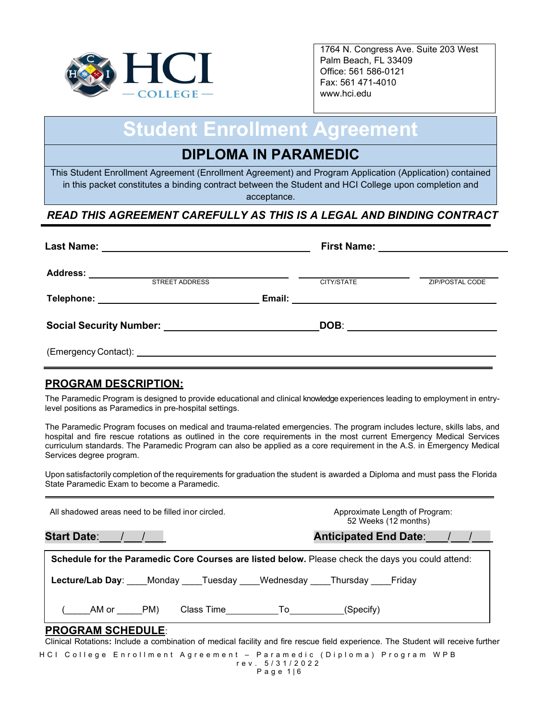

1764 N. Congress Ave. Suite 203 West Palm Beach, FL 33409 Office: 561 586-0121 Fax: 561 471-4010 www.hci.edu

# **Student Enrollment Agreement**

## **DIPLOMA IN PARAMEDIC**

This Student Enrollment Agreement (Enrollment Agreement) and Program Application (Application) contained in this packet constitutes a binding contract between the Student and HCI College upon completion and acceptance.

## *READ THIS AGREEMENT CAREFULLY AS THIS IS A LEGAL AND BINDING CONTRACT*

| <b>Last Name:</b>                                                       | First Name: _________________________ |                        |
|-------------------------------------------------------------------------|---------------------------------------|------------------------|
| <b>Address:</b><br><b>STREET ADDRESS</b>                                | CITY/STATE                            | <b>ZIP/POSTAL CODE</b> |
| Telephone: _____________________________                                |                                       |                        |
| Social Security Number: Name of the Contract of Social Security Number: | DOB:                                  |                        |
|                                                                         |                                       |                        |

## **PROGRAM DESCRIPTION:**

The Paramedic Program is designed to provide educational and clinical knowledge experiences leading to employment in entrylevel positions as Paramedics in pre-hospital settings.

The Paramedic Program focuses on medical and trauma-related emergencies. The program includes lecture, skills labs, and hospital and fire rescue rotations as outlined in the core requirements in the most current Emergency Medical Services curriculum standards. The Paramedic Program can also be applied as a core requirement in the A.S. in Emergency Medical Services degree program.

Upon satisfactorily completion of the requirements for graduation the student is awarded a Diploma and must pass the Florida State Paramedic Exam to become a Paramedic.

| All shadowed areas need to be filled inor circled.                                                                                                           | Approximate Length of Program:<br>52 Weeks (12 months) |  |  |  |
|--------------------------------------------------------------------------------------------------------------------------------------------------------------|--------------------------------------------------------|--|--|--|
| Start Date: ///                                                                                                                                              | Anticipated End Date: / /                              |  |  |  |
| Schedule for the Paramedic Core Courses are listed below. Please check the days you could attend:                                                            |                                                        |  |  |  |
| Lecture/Lab Day: Monday Tuesday Wednesday Thursday Friday                                                                                                    |                                                        |  |  |  |
| AM or PM)                                                                                                                                                    |                                                        |  |  |  |
| <b>PROGRAM SCHEDULE:</b><br>Clinical Rotations: Include a combination of medical facility and fire rescue field experience. The Student will receive further |                                                        |  |  |  |

HCI College Enrollment Agreement – Paramedic (Diploma) Program WPB rev. 5 / 3 1 /2022 Page 1|6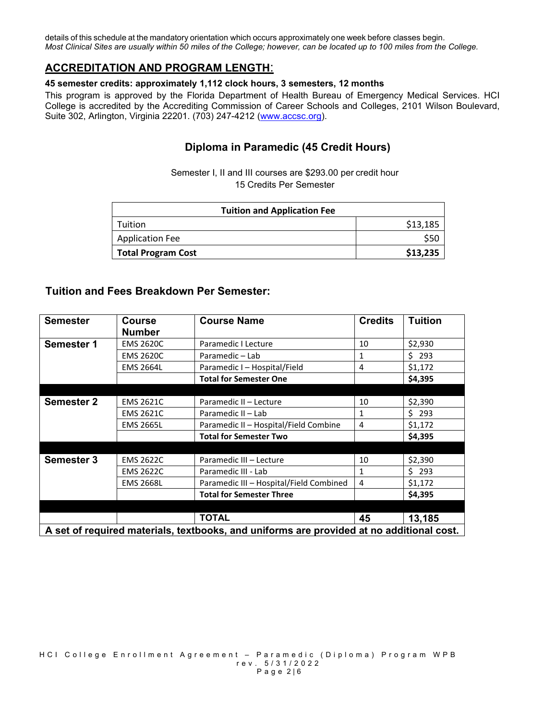details of this schedule at the mandatory orientation which occurs approximately one week before classes begin. *Most Clinical Sites are usually within 50 miles of the College; however, can be located up to 100 miles from the College.*

## **ACCREDITATION AND PROGRAM LENGTH**:

#### **45 semester credits: approximately 1,112 clock hours, 3 semesters, 12 months**

This program is approved by the Florida Department of Health Bureau of Emergency Medical Services. HCI College is accredited by the Accrediting Commission of Career Schools and Colleges, 2101 Wilson Boulevard, Suite 302, Arlington, Virginia 22201. (703) 247-4212 [\(www.accsc.org\)](http://www.accsc.org/).

## **Diploma in Paramedic (45 Credit Hours)**

Semester I, II and III courses are \$293.00 per credit hour 15 Credits Per Semester

| <b>Tuition and Application Fee</b> |          |  |  |
|------------------------------------|----------|--|--|
| Tuition                            | \$13,185 |  |  |
| <b>Application Fee</b>             |          |  |  |
| <b>Total Program Cost</b>          | \$13,235 |  |  |

## **Tuition and Fees Breakdown Per Semester:**

| <b>Semester</b>                                                                          | <b>Course</b><br><b>Number</b> | <b>Course Name</b>                      | <b>Credits</b> | <b>Tuition</b> |
|------------------------------------------------------------------------------------------|--------------------------------|-----------------------------------------|----------------|----------------|
| <b>Semester 1</b>                                                                        | <b>EMS 2620C</b>               | Paramedic I Lecture                     | 10             | \$2,930        |
|                                                                                          | <b>EMS 2620C</b>               | Paramedic - Lab                         | 1              | \$293          |
|                                                                                          | <b>EMS 2664L</b>               | Paramedic I - Hospital/Field            | 4              | \$1,172        |
|                                                                                          |                                | <b>Total for Semester One</b>           |                | \$4,395        |
|                                                                                          |                                |                                         |                |                |
| <b>Semester 2</b>                                                                        | <b>EMS 2621C</b>               | Paramedic II - Lecture                  | 10             | \$2,390        |
|                                                                                          | <b>EMS 2621C</b>               | Paramedic II - Lab                      | 1              | \$293          |
|                                                                                          | <b>EMS 2665L</b>               | Paramedic II - Hospital/Field Combine   | 4              | \$1,172        |
|                                                                                          |                                | <b>Total for Semester Two</b>           |                | \$4,395        |
|                                                                                          |                                |                                         |                |                |
| <b>Semester 3</b>                                                                        | <b>EMS 2622C</b>               | Paramedic III - Lecture                 | 10             | \$2,390        |
|                                                                                          | <b>EMS 2622C</b>               | Paramedic III - Lab                     | $\mathbf{1}$   | \$293          |
|                                                                                          | <b>EMS 2668L</b>               | Paramedic III - Hospital/Field Combined | 4              | \$1,172        |
|                                                                                          |                                | <b>Total for Semester Three</b>         |                | \$4,395        |
|                                                                                          |                                |                                         |                |                |
|                                                                                          |                                | <b>TOTAL</b>                            | 45             | 13,185         |
| A set of required materials, textbooks, and uniforms are provided at no additional cost. |                                |                                         |                |                |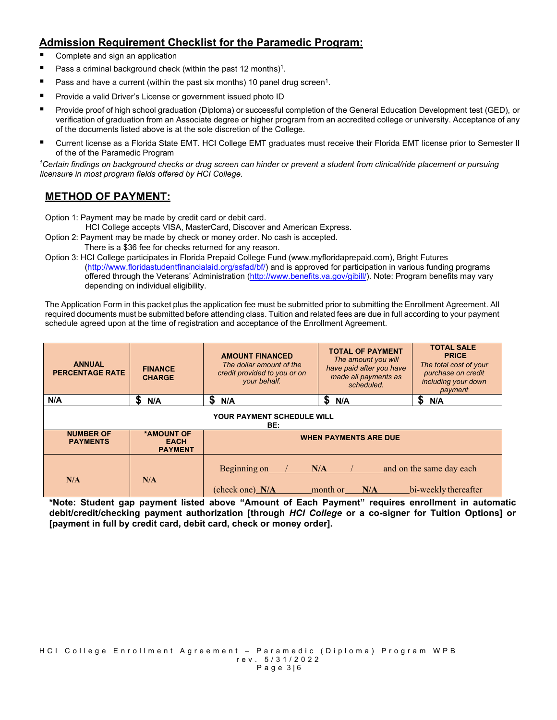## **Admission Requirement Checklist for the Paramedic Program:**

- Complete and sign an application
- **Pass a criminal background check (within the past 12 months)<sup>1</sup>.**
- **Pass and have a current (within the past six months) 10 panel drug screen<sup>1</sup>.**
- **Provide a valid Driver's License or government issued photo ID**
- Provide proof of high school graduation (Diploma) or successful completion of the General Education Development test (GED), or verification of graduation from an Associate degree or higher program from an accredited college or university. Acceptance of any of the documents listed above is at the sole discretion of the College.
- Current license as a Florida State EMT. HCI College EMT graduates must receive their Florida EMT license prior to Semester II of the of the Paramedic Program

*1Certain findings on background checks or drug screen can hinder or prevent a student from clinical/ride placement or pursuing licensure in most program fields offered by HCI College.* 

## **METHOD OF PAYMENT:**

Option 1: Payment may be made by credit card or debit card.

HCI College accepts VISA, MasterCard, Discover and American Express.

- Option 2: Payment may be made by check or money order. No cash is accepted.
- There is a \$36 fee for checks returned for any reason.

Option 3: HCI College participates in Florida Prepaid College Fund (www.myfloridaprepaid.com), Bright Futures [\(http://www.floridastudentfinancialaid.org/ssfad/bf/\)](http://www.floridastudentfinancialaid.org/ssfad/bf/) and is approved for participation in various funding programs offered through the Veterans' Administration [\(http://www.benefits.va.gov/gibill/\)](http://www.benefits.va.gov/gibill/). Note: Program benefits may vary depending on individual eligibility.

The Application Form in this packet plus the application fee must be submitted prior to submitting the Enrollment Agreement. All required documents must be submitted before attending class. Tuition and related fees are due in full according to your payment schedule agreed upon at the time of registration and acceptance of the Enrollment Agreement.

| <b>ANNUAL</b><br><b>PERCENTAGE RATE</b> | <b>FINANCE</b><br><b>CHARGE</b>             | <b>AMOUNT FINANCED</b><br>The dollar amount of the<br>credit provided to you or on<br>your behalf. | <b>TOTAL OF PAYMENT</b><br>The amount you will<br>have paid after you have<br>made all payments as<br>scheduled. | <b>TOTAL SALE</b><br><b>PRICE</b><br>The total cost of your<br>purchase on credit<br>including your down<br>payment |  |
|-----------------------------------------|---------------------------------------------|----------------------------------------------------------------------------------------------------|------------------------------------------------------------------------------------------------------------------|---------------------------------------------------------------------------------------------------------------------|--|
| N/A                                     | S<br>N/A                                    | S<br>N/A                                                                                           | S<br>N/A                                                                                                         | S<br>N/A                                                                                                            |  |
| YOUR PAYMENT SCHEDULE WILL<br>BE:       |                                             |                                                                                                    |                                                                                                                  |                                                                                                                     |  |
| <b>NUMBER OF</b><br><b>PAYMENTS</b>     | *AMOUNT OF<br><b>EACH</b><br><b>PAYMENT</b> | <b>WHEN PAYMENTS ARE DUE</b>                                                                       |                                                                                                                  |                                                                                                                     |  |
| N/A                                     | N/A                                         | Beginning on<br>(check one) N/A                                                                    | N/A<br>month or<br>N/A                                                                                           | and on the same day each<br>bi-weekly thereafter                                                                    |  |

**\*Note: Student gap payment listed above "Amount of Each Payment" requires enrollment in automatic debit/credit/checking payment authorization [through** *HCI College* **or a co-signer for Tuition Options] or [payment in full by credit card, debit card, check or money order].**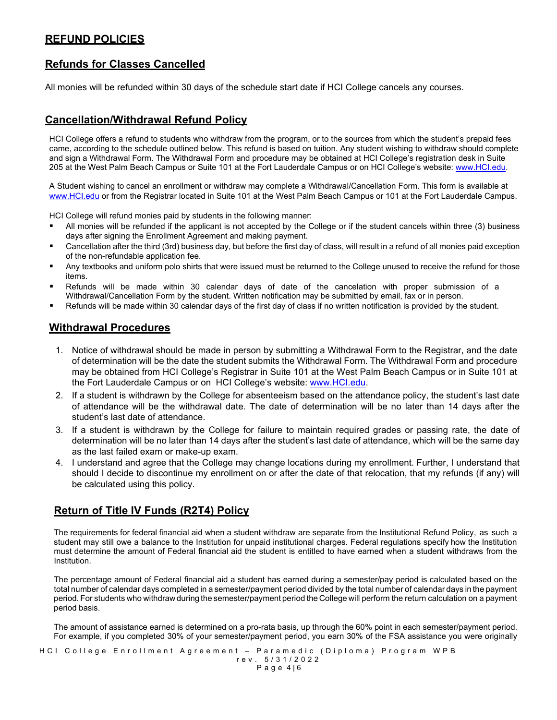## **REFUND POLICIES**

## **Refunds for Classes Cancelled**

All monies will be refunded within 30 days of the schedule start date if HCI College cancels any courses.

## **Cancellation/Withdrawal Refund Policy**

HCI College offers a refund to students who withdraw from the program, or to the sources from which the student's prepaid fees came, according to the schedule outlined below. This refund is based on tuition. Any student wishing to withdraw should complete and sign a Withdrawal Form. The Withdrawal Form and procedure may be obtained at HCI College's registration desk in Suite 205 at the West Palm Beach Campus or Suite 101 at the Fort Lauderdale Campus or on HCI College's website: [www.HCI.edu.](http://www.hci.edu/)

A Student wishing to cancel an enrollment or withdraw may complete a Withdrawal/Cancellation Form. This form is available at [www.HCI.edu](http://www.hci.edu/) or from the Registrar located in Suite 101 at the West Palm Beach Campus or 101 at the Fort Lauderdale Campus.

HCI College will refund monies paid by students in the following manner:

- All monies will be refunded if the applicant is not accepted by the College or if the student cancels within three (3) business days after signing the Enrollment Agreement and making payment.
- Cancellation after the third (3rd) business day, but before the first day of class, will result in a refund of all monies paid exception of the non-refundable application fee.
- Any textbooks and uniform polo shirts that were issued must be returned to the College unused to receive the refund for those items.
- Refunds will be made within 30 calendar days of date of the cancelation with proper submission of a Withdrawal/Cancellation Form by the student. Written notification may be submitted by email, fax or in person.
- Refunds will be made within 30 calendar days of the first day of class if no written notification is provided by the student.

#### **Withdrawal Procedures**

- 1. Notice of withdrawal should be made in person by submitting a Withdrawal Form to the Registrar, and the date of determination will be the date the student submits the Withdrawal Form. The Withdrawal Form and procedure may be obtained from HCI College's Registrar in Suite 101 at the West Palm Beach Campus or in Suite 101 at the Fort Lauderdale Campus or on HCI College's website: [www.HCI.edu.](http://www.hci.edu/)
- 2. If a student is withdrawn by the College for absenteeism based on the attendance policy, the student's last date of attendance will be the withdrawal date. The date of determination will be no later than 14 days after the student's last date of attendance.
- 3. If a student is withdrawn by the College for failure to maintain required grades or passing rate, the date of determination will be no later than 14 days after the student's last date of attendance, which will be the same day as the last failed exam or make-up exam.
- 4. I understand and agree that the College may change locations during my enrollment. Further, I understand that should I decide to discontinue my enrollment on or after the date of that relocation, that my refunds (if any) will be calculated using this policy.

## **Return of Title IV Funds (R2T4) Policy**

The requirements for federal financial aid when a student withdraw are separate from the Institutional Refund Policy, as such a student may still owe a balance to the Institution for unpaid institutional charges. Federal regulations specify how the Institution must determine the amount of Federal financial aid the student is entitled to have earned when a student withdraws from the Institution.

The percentage amount of Federal financial aid a student has earned during a semester/pay period is calculated based on the total number of calendar days completed in a semester/payment period divided by the total number of calendar days in the payment period. For students who withdraw during the semester/payment period the College will perform the return calculation on a payment period basis.

The amount of assistance earned is determined on a pro-rata basis, up through the 60% point in each semester/payment period. For example, if you completed 30% of your semester/payment period, you earn 30% of the FSA assistance you were originally

HCI College Enrollment Agreement – Paramedic (Diploma) Program WPB rev. 5 / 3 1 /2022 Page 4 | 6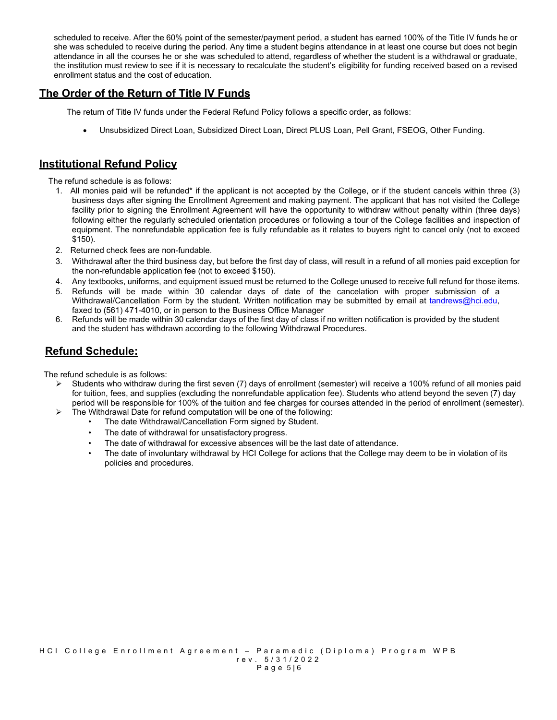scheduled to receive. After the 60% point of the semester/payment period, a student has earned 100% of the Title IV funds he or she was scheduled to receive during the period. Any time a student begins attendance in at least one course but does not begin attendance in all the courses he or she was scheduled to attend, regardless of whether the student is a withdrawal or graduate, the institution must review to see if it is necessary to recalculate the student's eligibility for funding received based on a revised enrollment status and the cost of education.

## **The Order of the Return of Title IV Funds**

The return of Title IV funds under the Federal Refund Policy follows a specific order, as follows:

• Unsubsidized Direct Loan, Subsidized Direct Loan, Direct PLUS Loan, Pell Grant, FSEOG, Other Funding.

## **Institutional Refund Policy**

The refund schedule is as follows:

- 1. All monies paid will be refunded\* if the applicant is not accepted by the College, or if the student cancels within three (3) business days after signing the Enrollment Agreement and making payment. The applicant that has not visited the College facility prior to signing the Enrollment Agreement will have the opportunity to withdraw without penalty within (three days) following either the regularly scheduled orientation procedures or following a tour of the College facilities and inspection of equipment. The nonrefundable application fee is fully refundable as it relates to buyers right to cancel only (not to exceed \$150).
- 2. Returned check fees are non-fundable.
- 3. Withdrawal after the third business day, but before the first day of class, will result in a refund of all monies paid exception for the non-refundable application fee (not to exceed \$150).
- 4. Any textbooks, uniforms, and equipment issued must be returned to the College unused to receive full refund for those items.
- 5. Refunds will be made within 30 calendar days of date of the cancelation with proper submission of a Withdrawal/Cancellation Form by the student. Written notification may be submitted by email at [tandrews@hci.edu,](mailto:tandrews@hci.edu) faxed to (561) 471-4010, or in person to the Business Office Manager
- 6. Refunds will be made within 30 calendar days of the first day of class if no written notification is provided by the student and the student has withdrawn according to the following Withdrawal Procedures.

## **Refund Schedule:**

The refund schedule is as follows:

- $\triangleright$  Students who withdraw during the first seven (7) days of enrollment (semester) will receive a 100% refund of all monies paid for tuition, fees, and supplies (excluding the nonrefundable application fee). Students who attend beyond the seven (7) day period will be responsible for 100% of the tuition and fee charges for courses attended in the period of enrollment (semester).
- $\triangleright$  The Withdrawal Date for refund computation will be one of the following:
	- The date Withdrawal/Cancellation Form signed by Student.
	- The date of withdrawal for unsatisfactory progress.
	- The date of withdrawal for excessive absences will be the last date of attendance.
	- The date of involuntary withdrawal by HCI College for actions that the College may deem to be in violation of its policies and procedures.